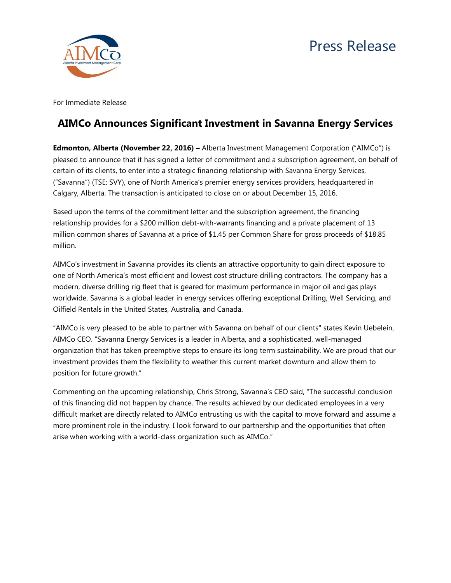

For Immediate Release

## **AIMCo Announces Significant Investment in Savanna Energy Services**

**Edmonton, Alberta (November 22, 2016) –** Alberta Investment Management Corporation ("AIMCo") is pleased to announce that it has signed a letter of commitment and a subscription agreement, on behalf of certain of its clients, to enter into a strategic financing relationship with Savanna Energy Services, ("Savanna") (TSE: SVY), one of North America's premier energy services providers, headquartered in Calgary, Alberta. The transaction is anticipated to close on or about December 15, 2016.

Based upon the terms of the commitment letter and the subscription agreement, the financing relationship provides for a \$200 million debt-with-warrants financing and a private placement of 13 million common shares of Savanna at a price of \$1.45 per Common Share for gross proceeds of \$18.85 million.

AIMCo's investment in Savanna provides its clients an attractive opportunity to gain direct exposure to one of North America's most efficient and lowest cost structure drilling contractors. The company has a modern, diverse drilling rig fleet that is geared for maximum performance in major oil and gas plays worldwide. Savanna is a global leader in energy services offering exceptional Drilling, Well Servicing, and Oilfield Rentals in the United States, Australia, and Canada.

"AIMCo is very pleased to be able to partner with Savanna on behalf of our clients" states Kevin Uebelein, AIMCo CEO. "Savanna Energy Services is a leader in Alberta, and a sophisticated, well-managed organization that has taken preemptive steps to ensure its long term sustainability. We are proud that our investment provides them the flexibility to weather this current market downturn and allow them to position for future growth."

Commenting on the upcoming relationship, Chris Strong, Savanna's CEO said, "The successful conclusion of this financing did not happen by chance. The results achieved by our dedicated employees in a very difficult market are directly related to AIMCo entrusting us with the capital to move forward and assume a more prominent role in the industry. I look forward to our partnership and the opportunities that often arise when working with a world-class organization such as AIMCo."